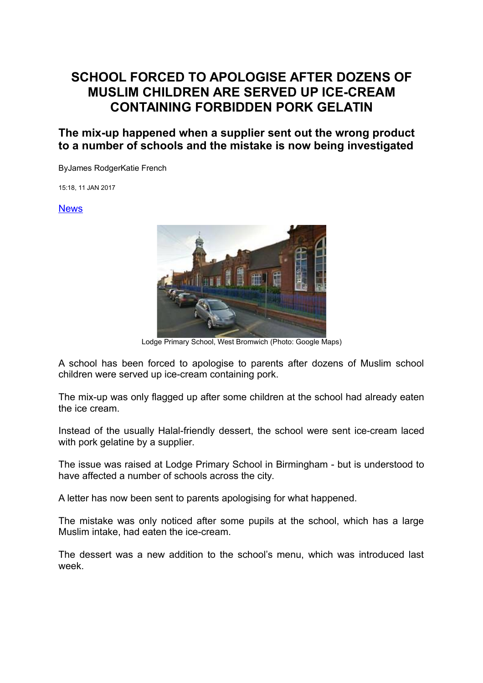## **SCHOOL FORCED TO APOLOGISE AFTER DOZENS OF MUSLIM CHILDREN ARE SERVED UP ICE-CREAM CONTAINING FORBIDDEN PORK GELATIN**

**The mix-up happened when a supplier sent out the wrong product to a number of schools and the mistake is now being investigated**

ByJames RodgerKatie French

15:18, 11 JAN 2017

## [News](http://www.mirror.co.uk/news/)



Lodge Primary School, West Bromwich (Photo: Google Maps)

A school has been forced to apologise to parents after dozens of Muslim school children were served up ice-cream containing pork.

The mix-up was only flagged up after some children at the school had already eaten the ice cream.

Instead of the usually Halal-friendly dessert, the school were sent ice-cream laced with pork gelatine by a supplier.

The issue was raised at Lodge Primary School in Birmingham - but is understood to have affected a number of schools across the city.

A letter has now been sent to parents apologising for what happened.

The mistake was only noticed after some pupils at the school, which has a large Muslim intake, had eaten the ice-cream.

The dessert was a new addition to the school's menu, which was introduced last week.